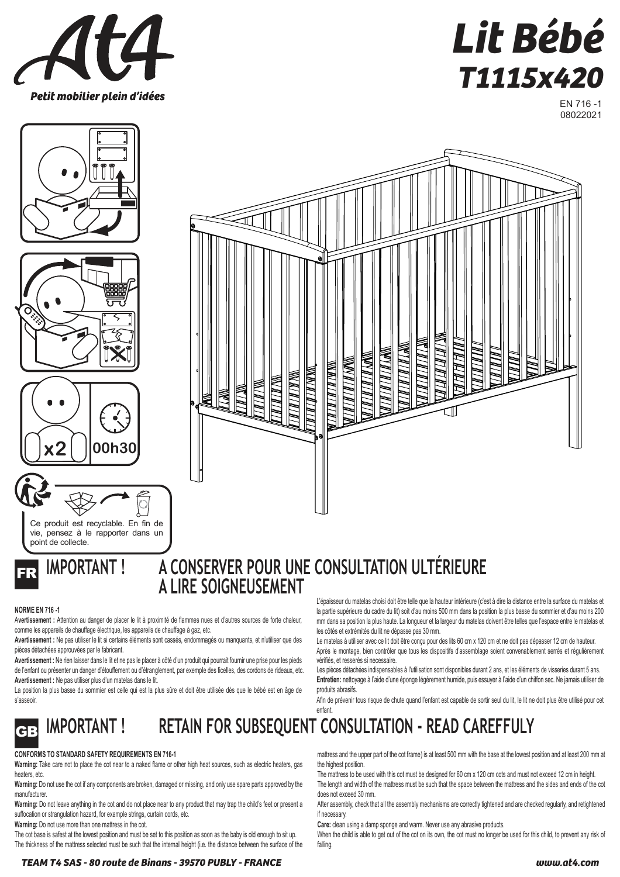



EN 716 -1 08022021













### **IMPORTANT ! A CONSERVER POUR UNE CONSULTATION ULTÉRIEURE A LIRE SOIGNEUSEMENT**

W M /

WWW.L.

### **NORME EN 716 -1**

A**vertissement :** Attention au danger de placer le lit à proximité de flammes nues et d'autres sources de forte chaleur, comme les appareils de chauffage électrique, les appareils de chauffage à gaz, etc.

**Avertissement :** Ne pas utiliser le lit si certains éléments sont cassés, endommagés ou manquants, et n'utiliser que des pièces détachées approuvées par le fabricant.

**Avertissement :** Ne rien laisser dans le lit et ne pas le placer à côté d'un produit qui pourrait fournir une prise pour les pieds de l'enfant ou présenter un danger d'étouffement ou d'étranglement, par exemple des ficelles, des cordons de rideaux, etc. **Avertissement :** Ne pas utiliser plus d'un matelas dans le lit.

La position la plus basse du sommier est celle qui est la plus sûre et doit être utilisée dès que le bébé est en âge de s'asseoir.

L'épaisseur du matelas choisi doit être telle que la hauteur intérieure (c'est à dire la distance entre la surface du matelas et la partie supérieure du cadre du lit) soit d'au moins 500 mm dans la position la plus basse du sommier et d'au moins 200 mm dans sa position la plus haute. La longueur et la largeur du matelas doivent être telles que l'espace entre le matelas et les côtés et extrémités du lit ne dépasse pas 30 mm.

 $\mathbb Z\mathbb Z\mathbb Z$ 

Le matelas à utiliser avec ce lit doit être conçu pour des lits 60 cm x 120 cm et ne doit pas dépasser 12 cm de hauteur. Après le montage, bien contrôler que tous les dispositifs d'assemblage soient convenablement serrés et régulièrement vérifiés, et resserés si necessaire.

Les pièces détachées indispensables à l'utilisation sont disponibles durant 2 ans, et les éléments de visseries durant 5 ans. **Entretien:** nettoyage à l'aide d'une éponge légèrement humide, puis essuyer à l'aide d'un chiffon sec. Ne jamais utiliser de produits abrasifs.

Afin de prévenir tous risque de chute quand l'enfant est capable de sortir seul du lit, le lit ne doit plus être utilisé pour cet enfant.

### GB **IMPORTANT ! RETAIN FOR SUBSEQUENT CONSULTATION - READ CAREFFULY**

### **CONFORMS TO STANDARD SAFETY REQUIREMENTS EN 716-1**

**Warning:** Take care not to place the cot near to a naked flame or other high heat sources, such as electric heaters, gas heaters, etc.

**Warning:** Do not use the cot if any components are broken, damaged or missing, and only use spare parts approved by the manufacturer

**Warning:** Do not leave anything in the cot and do not place near to any product that may trap the child's feet or present a suffocation or strangulation hazard, for example strings, curtain cords, etc.

**Warning:** Do not use more than one mattress in the cot.

The cot base is safest at the lowest position and must be set to this position as soon as the baby is old enough to sit up. The thickness of the mattress selected must be such that the internal height (i.e. the distance between the surface of the

**TEAM T4 SAS - 80 route de Binans - 39570 PUBLY - FRANCE www.at4.com**

mattress and the upper part of the cot frame) is at least 500 mm with the base at the lowest position and at least 200 mm at the highest position.

The mattress to be used with this cot must be designed for 60 cm x 120 cm cots and must not exceed 12 cm in height. The length and width of the mattress must be such that the space between the mattress and the sides and ends of the cot

does not exceed 30 mm. After assembly, check that all the assembly mechanisms are correctly tightened and are checked regularly, and retightened

if necessary. **Care:** clean using a damp sponge and warm. Never use any abrasive products.

When the child is able to get out of the cot on its own, the cot must no longer be used for this child, to prevent any risk of falling.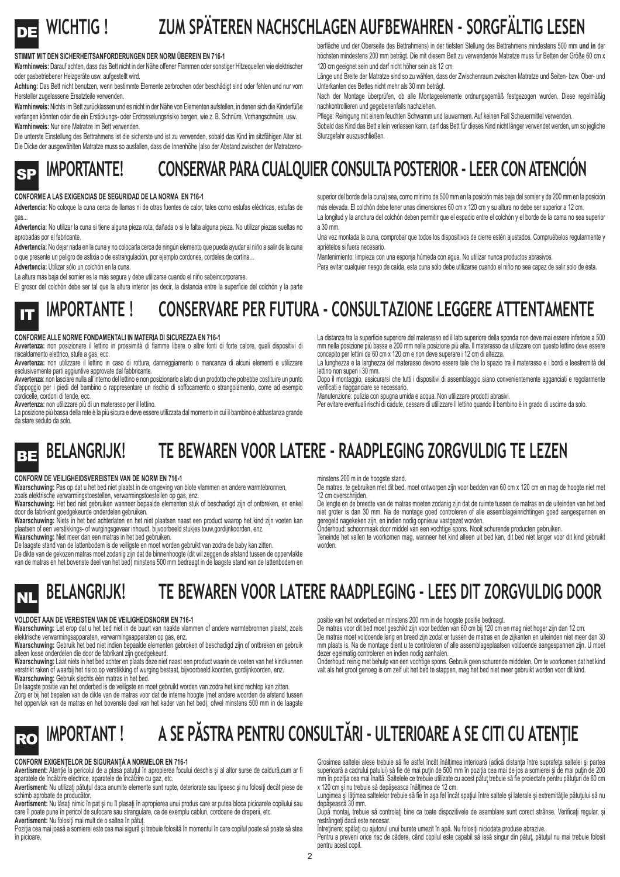### DE **WICHTIG ! ZUM SPÄTEREN NACHSCHLAGEN AUFBEWAHREN - SORGFÄLTIG LESEN**

#### **STIMMT MIT DEN SICHERHEITSANFORDERUNGEN DER NORM ÜBEREIN EN 716-1**

**Warnhinweis:** Darauf achten, dass das Bett nicht in der Nähe offener Flammen oder sonstiger Hitzequellen wie elektrischer oder gasbetriebener Heizgeräte usw. aufgestellt wird.

**Achtung:** Das Bett nicht benutzen, wenn bestimmte Elemente zerbrochen oder beschädigt sind oder fehlen und nur vom Hersteller zugelassene Ersatzteile verwenden.

**Warnhinweis:** Nichts im Bett zurücklassen und es nicht in der Nähe von Elementen aufstellen, in denen sich die Kinderfüße verfangen könnten oder die ein Erstickungs- oder Erdrosselungsrisiko bergen, wie z. B. Schnüre, Vorhangschnüre, usw. **Warnhinweis:** Nur eine Matratze im Bett verwenden.

Die unterste Einstellung des Bettrahmens ist die sicherste und ist zu verwenden, sobald das Kind im sitzfähigen Alter ist. Die Dicke der ausgewählten Matratze muss so ausfallen, dass die Innenhöhe (also der Abstand zwischen der Matratzenoberfläche und der Oberseite des Bettrahmens) in der tiefsten Stellung des Bettrahmens mindestens 500 mm **und in** der höchsten mindestens 200 mm beträgt. Die mit diesem Bett zu verwendende Matratze muss für Betten der Größe 60 cm x 120 cm geeignet sein und darf nicht höher sein als 12 cm.

Länge und Breite der Matratze sind so zu wählen, dass der Zwischenraum zwischen Matratze und Seiten- bzw. Ober- und Unterkanten des Bettes nicht mehr als 30 mm beträgt.

Nach der Montage überprüfen, ob alle Montageelemente ordnungsgemäß festgezogen wurden. Diese regelmäßig nachkontrollieren und gegebenenfalls nachziehen.

Pflege: Reinigung mit einem feuchten Schwamm und lauwarmem. Auf keinen Fall Scheuermittel verwenden.

Sobald das Kind das Bett allein verlassen kann, darf das Bett für dieses Kind nicht länger verwendet werden, um so jegliche Sturzgefahr auszuschließen.

superior del borde de la cuna) sea, como mínimo de 500 mm en la posición más baja del somier y de 200 mm en la posición más elevada. El colchón debe tener unas dimensiones 60 cm x 120 cm y su altura no debe ser superior a 12 cm. La longitud y la anchura del colchón deben permitir que el espacio entre el colchón y el borde de la cama no sea superior

Una vez montada la cuna, comprobar que todos los dispositivos de cierre estén ajustados. Compruébelos regularmente y

Para evitar cualquier riesgo de caída, esta cuna sólo debe utilizarse cuando el niño no sea capaz de salir solo de ésta.

Mantenimiento: limpieza con una esponja húmeda con agua. No utilizar nunca productos abrasivos.

## SP **IMPORTANTE! CONSERVAR PARA CUALQUIER CONSULTA POSTERIOR - LEER CON ATENCIÓN**

apriételos si fuera necesario.

a 30 mm.

#### **CONFORME A LAS EXIGENCIAS DE SEGURIDAD DE LA NORMA EN 716-1**

**Advertencia:** No coloque la cuna cerca de llamas ni de otras fuentes de calor, tales como estufas eléctricas, estufas de gas.

Advertencia: No utilizar la cuna si tiene alguna pieza rota, dañada o si le falta alguna pieza. No utilizar piezas sueltas no aprobadas por el fabricante.

**Advertencia:** No dejar nada en la cuna y no colocarla cerca de ningún elemento que pueda ayudar al niño a salir de la cuna o que presente un peligro de asfixia o de estrangulación, por ejemplo cordones, cordeles de cortina…

**Advertencia:** Utilizar sólo un colchón en la cuna.

La altura más baja del somier es la más segura y debe utilizarse cuando el niño sabeincorporarse.

El grosor del colchón debe ser tal que la altura interior (es decir, la distancia entre la superficie del colchón y la parte

### **IMPORTANTE ! CONSERVARE PER FUTURA - CONSULTAZIONE LEGGERE ATTENTAMENTE**

#### **CONFORME ALLE NORME FONDAMENTALI IN MATERIA DI SICUREZZA EN 716-1**

**Avvertenza:** non posizionare il lettino in prossimità di fiamme libere o altre fonti di forte calore, quali dispositivi di riscaldamento elettrico, stufe a gas, ecc.

**Avvertenza:** non utilizzare il lettino in caso di rottura, danneggiamento o mancanza di alcuni elementi e utilizzare esclusivamente parti aggiuntive approvate dal fabbricante.

**Avvertenza**: non lasciare nulla all'interno del lettino e non posizionarlo a lato di un prodotto che potrebbe costituire un punto d'appoggio per i piedi del bambino o rappresentare un rischio di soffocamento o strangolamento, come ad esempio cordicelle, cordoni di tende, ecc.

**Avvertenza:** non utilizzare più di un materasso per il lettino.

La posizione più bassa della rete è la più sicura e deve essere utilizzata dal momento in cui il bambino è abbastanza grande da stare seduto da solo.

La distanza tra la superficie superiore del materasso ed il lato superiore della sponda non deve mai essere inferiore a 500 mm nella posizione più bassa e 200 mm nella posizione più alta. Il materasso da utilizzare con questo lettino deve essere concepito per lettini da 60 cm x 120 cm e non deve superare i 12 cm di altezza. La lunghezza e la larghezza del materasso devono essere tale che lo spazio tra il materasso e i bordi e leestremità del

lettino non superi i 30 mm. Dopo il montaggio, assicurarsi che tutti i dispositivi di assemblaggio siano convenientemente agganciati e regolarmente verificati e riagganciare se necessario.

Manutenzione: pulizia con spugna umida e acqua. Non utilizzare prodotti abrasivi.

Per evitare eventuali rischi di cadute, cessare di utilizzare il lettino quando il bambino è in grado di uscirne da solo.

### BE **BELANGRIJK! TE BEWAREN VOOR LATERE - RAADPLEGING ZORGVULDIG TE LEZEN**

#### **CONFORM DE VEILIGHEIDSVEREISTEN VAN DE NORM EN 716-1**

**Waarschuwing:** Pas op dat u het bed niet plaatst in de omgeving van blote vlammen en andere warmtebronnen, zoals elektrische verwarmingstoestellen, verwarmingstoestellen op gas, enz.

**Waarschuwing:** Het bed niet gebruiken wanneer bepaalde elementen stuk of beschadigd zijn of ontbreken, en enkel door de fabrikant goedgekeurde onderdelen gebruiken.

**Waarschuwing:** Niets in het bed achterlaten en het niet plaatsen naast een product waarop het kind zijn voeten kan plaatsen of een verstikkings- of wurgingsgevaar inhoudt, bijvoorbeeld stukjes touw,gordijnkoorden, enz. **Waarschuwing:** Niet meer dan een matras in het bed gebruiken.

De laagste stand van de lattenbodem is de veiligste en moet worden gebruikt van zodra de baby kan zitten.

De dikte van de gekozen matras moet zodanig zijn dat de binnenhoogte (dit wil zeggen de afstand tussen de oppervlakte van de matras en het bovenste deel van het bed) minstens 500 mm bedraagt in de laagste stand van de lattenbodem en

minstens 200 m in de hoogste stand.

De matras, te gebruiken met dit bed, moet ontworpen zijn voor bedden van 60 cm x 120 cm en mag de hoogte niet met 12 cm overschrijden.

De lengte en de breedte van de matras moeten zodanig zijn dat de ruimte tussen de matras en de uiteinden van het bed niet groter is dan 30 mm. Na de montage goed controleren of alle assemblageinrichtingen goed aangespannen en geregeld nagekeken zijn, en indien nodig opnieuw vastgezet worden.

Onderhoud: schoonmaak door middel van een vochtige spons. Nooit schurende producten gebruiken.

Teneinde het vallen te voorkomen mag, wanneer het kind alleen uit bed kan, dit bed niet langer voor dit kind gebruikt worden.

## **NL BELANGRIJK! TE BEWAREN VOOR LATERE RAADPLEGING - LEES DIT ZORGVULDIG DOOR**

### **VOLDOET AAN DE VEREISTEN VAN DE VEILIGHEIDSNORM EN 716-1**

**Waarschuwing:** Let erop dat u het bed niet in de buurt van naakte vlammen of andere warmtebronnen plaatst, zoals elektrische verwarmingsapparaten, verwarmingsapparaten op gas, enz.

**Waarschuwing:** Gebruik het bed niet indien bepaalde elementen gebroken of beschadigd zijn of ontbreken en gebruik alleen losse onderdelen die door de fabrikant zijn goedgekeurd.

**Waarschuwing:** Laat niets in het bed achter en plaats deze niet naast een product waarin de voeten van het kindkunnen verstrikt raken of waarbij het risico op verstikking of wurging bestaat, bijvoorbeeld koorden, gordijnkoorden, enz. **Waarschuwing:** Gebruik slechts één matras in het bed.

De laagste positie van het onderbed is de veiligste en moet gebruikt worden van zodra het kind rechtop kan zitten. Zorg er bij het bepalen van de dikte van de matras voor dat de interne hoogte (met andere woorden de afstand tussen het oppervlak van de matras en het bovenste deel van het kader van het bed), ofwel minstens 500 mm in de laagste

positie van het onderbed en minstens 200 mm in de hoogste positie bedraagt.

De matras voor dit bed moet geschikt zijn voor bedden van 60 cm bij 120 cm en mag niet hoger zijn dan 12 cm. De matras moet voldoende lang en breed zijn zodat er tussen de matras en de zijkanten en uiteinden niet meer dan 30 mm plaats is. Na de montage dient u te controleren of alle assemblageplaatsen voldoende aangespannen zijn. U moet dezer egelmatig controleren en indien nodig aanhalen.

Onderhoud: reinig met behulp van een vochtige spons. Gebruik geen schurende middelen. Om te voorkomen dat het kind valt als het groot genoeg is om zelf uit het bed te stappen, mag het bed niet meer gebruikt worden voor dit kind.

# RO **IMPORTANT !** A SE PĂSTRA PENTRU CONSULTĂRI - ULTERIOARE A SE CITI CU ATENȚIE

### **CONFORM EXIGENŢELOR DE SIGURANŢĂ A NORMELOR EN 716-1**

**Avertisment:** Atenţie la pericolul de a plasa patuţul în apropierea focului deschis şi al altor surse de caldură,cum ar fi aparatele de încălzire electrice, aparatele de încălzire cu gaz, etc.

**Avertisment:** Nu utilizaţi pătuţul daca anumite elemente sunt rupte, deteriorate sau lipsesc şi nu folosiţi decât piese de schimb aprobate de producător.

**Avertisment:** Nu lăsaţi nimic în pat şi nu îl plasaţi în apropierea unui produs care ar putea bloca picioarele copilului sau care îl poate pune în pericol de sufocare sau strangulare, ca de exemplu cabluri, cordoane de draperii, etc. **Avertisment:** Nu folositi mai mult de o saltea în pătut.

Poziția cea mai joasă a somierei este cea mai sigură și trebuie folosită în momentul în care copilul poate să poate să stea în picioare.

Grosimea saitelei alese trebule sa fie astrei incat inalțimea interioara (adica distanța intre suprafeța saitelei și partea<br>superioară a cadrului patului) să fie de mai puțin de 500 mm în poziția cea mai de jos a somierei mm în poziția cea mai înaltă. Saltelele ce trebuie utilizate cu acest pătuț trebuie să fie proiectate pentru pătuțuri de 60 cm x 120 cm şi nu trebuie să depăşeasca înălţimea de 12 cm.

Lungimea şi lăţimea saltelelor trebuie să fie în aşa fel încât spaţiul între saltele şi laterale şi extremităţile pătuţului să nu depăşească 30 mm.

După montaj, trebuie să controlaţi bine ca toate dispozitivele de asamblare sunt corect strânse. Verificaţi regular, şi restrângeti dacă este necesar.

Întreținere: spălați cu ajutorul unui burete umezit în apă. Nu folosiți niciodata produse abrazive.

Pentru a preveni orice risc de cădere, când copilul este capabil să iasă singur din pătuț, pătuțul nu mai trebuie folosit pentru acest copil.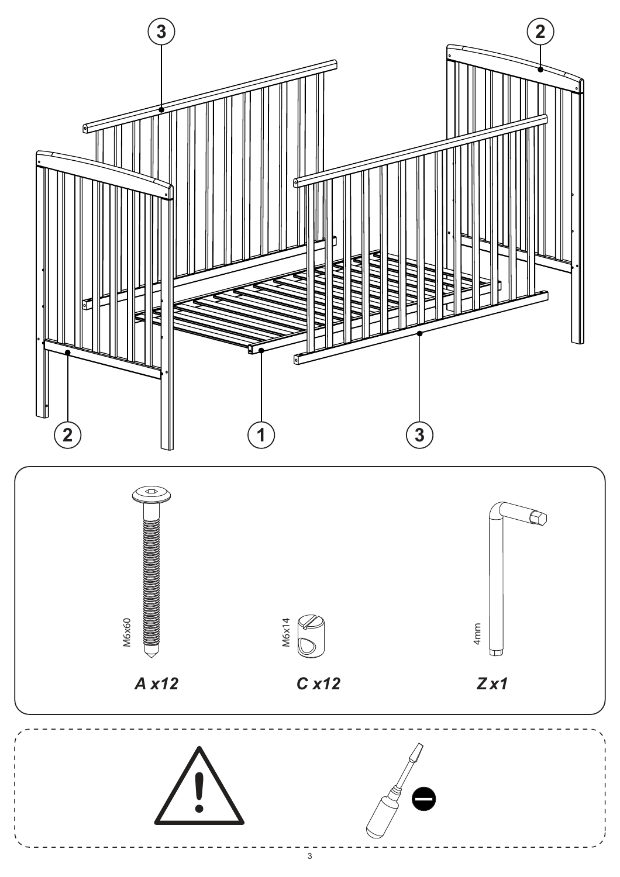